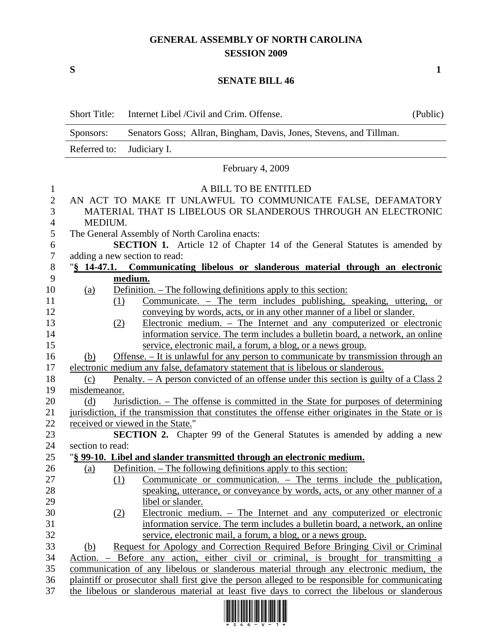## **GENERAL ASSEMBLY OF NORTH CAROLINA SESSION 2009**

 $S$  1

## **SENATE BILL 46**

| <b>Short Title:</b> | Internet Libel / Civil and Crim. Offense.                                                                            | (Public) |
|---------------------|----------------------------------------------------------------------------------------------------------------------|----------|
| Sponsors:           | Senators Goss; Allran, Bingham, Davis, Jones, Stevens, and Tillman.                                                  |          |
| Referred to:        | Judiciary I.                                                                                                         |          |
|                     | February 4, 2009                                                                                                     |          |
|                     | A BILL TO BE ENTITLED                                                                                                |          |
|                     | AN ACT TO MAKE IT UNLAWFUL TO COMMUNICATE FALSE, DEFAMATORY                                                          |          |
|                     | MATERIAL THAT IS LIBELOUS OR SLANDEROUS THROUGH AN ELECTRONIC                                                        |          |
| MEDIUM.             |                                                                                                                      |          |
|                     | The General Assembly of North Carolina enacts:                                                                       |          |
|                     | <b>SECTION 1.</b> Article 12 of Chapter 14 of the General Statutes is amended by                                     |          |
|                     | adding a new section to read:                                                                                        |          |
|                     | "§ 14-47.1. Communicating libelous or slanderous material through an electronic                                      |          |
|                     | medium.                                                                                                              |          |
| <u>(a)</u>          | Definition. – The following definitions apply to this section:                                                       |          |
|                     | Communicate. – The term includes publishing, speaking, uttering, or<br>(1)                                           |          |
|                     | conveying by words, acts, or in any other manner of a libel or slander.                                              |          |
|                     | Electronic medium. – The Internet and any computerized or electronic<br>(2)                                          |          |
|                     | information service. The term includes a bulletin board, a network, an online                                        |          |
|                     | service, electronic mail, a forum, a blog, or a news group.                                                          |          |
| (b)                 | Offense. – It is unlawful for any person to communicate by transmission through an                                   |          |
|                     | electronic medium any false, defamatory statement that is libelous or slanderous.                                    |          |
| (c)                 | <u>Penalty. – A person convicted of an offense under this section is guilty of a Class 2</u>                         |          |
| misdemeanor.        |                                                                                                                      |          |
| (d)                 | Jurisdiction. – The offense is committed in the State for purposes of determining                                    |          |
|                     | jurisdiction, if the transmission that constitutes the offense either originates in the State or is                  |          |
|                     | received or viewed in the State."<br><b>SECTION 2.</b> Chapter 99 of the General Statutes is amended by adding a new |          |
| section to read:    |                                                                                                                      |          |
|                     | "§ 99-10. Libel and slander transmitted through an electronic medium.                                                |          |
|                     | (a) Definition. – The following definitions apply to this section:                                                   |          |
|                     | Communicate or communication. $-$ The terms include the publication,<br>(1)                                          |          |
|                     | speaking, utterance, or conveyance by words, acts, or any other manner of a                                          |          |
|                     | libel or slander.                                                                                                    |          |
|                     | Electronic medium. – The Internet and any computerized or electronic<br>(2)                                          |          |
|                     | information service. The term includes a bulletin board, a network, an online                                        |          |
|                     | service, electronic mail, a forum, a blog, or a news group.                                                          |          |
| (b)                 | Request for Apology and Correction Required Before Bringing Civil or Criminal                                        |          |
| Action.             | - Before any action, either civil or criminal, is brought for transmitting a                                         |          |
|                     | communication of any libelous or slanderous material through any electronic medium, the                              |          |
|                     | plaintiff or prosecutor shall first give the person alleged to be responsible for communicating                      |          |
|                     | the libelous or slanderous material at least five days to correct the libelous or slanderous                         |          |